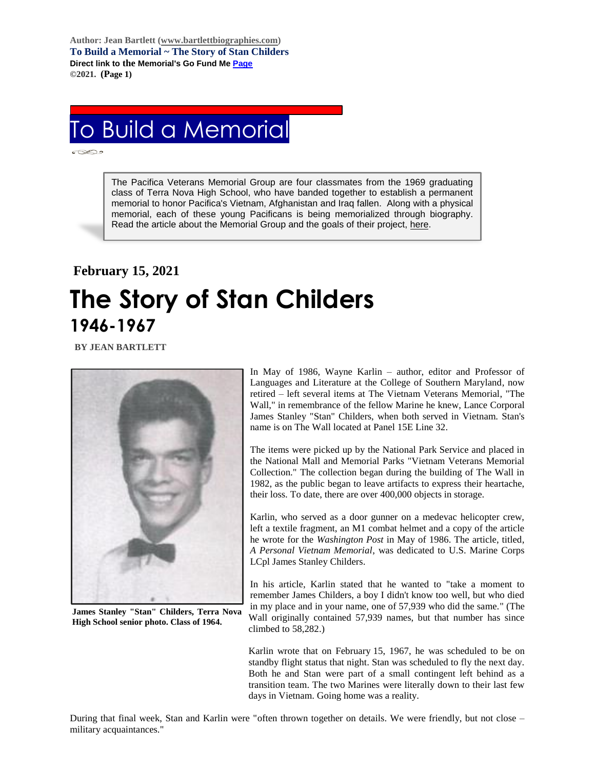**Author: Jean Bartlett [\(www.bartlettbiographies.com\)](http://www.bartlettbiographies.com/) To Build a Memorial ~ The Story of Stan Childers Direct link to the Memorial's Go Fund M[e Page](https://www.gofundme.com/f/uyf8r-25000?utm_source=customer&utm_medium=copy_link-tip&utm_campaign=p_cp+share-sheet) ©2021. (Page 1)**

## To Build a Memorial

The Pacifica Veterans Memorial Group are four classmates from the 1969 graduating class of Terra Nova High School, who have banded together to establish a permanent memorial to honor Pacifica's Vietnam, Afghanistan and Iraq fallen. Along with a physical memorial, each of these young Pacificans is being memorialized through biography. Read the article about the Memorial Group and the goals of their project, [here.](https://46d14119-b42d-469c-887f-083db2a10fe7.filesusr.com/ugd/5ea9c3_694b61f9c88d4750bf1a520233e8f35f.pdf)

## **February 15, 2021 The Story of Stan Childers 1946-1967**

 **BY JEAN BARTLETT** 



**James Stanley "Stan" Childers, Terra Nova High School senior photo. Class of 1964.**

In May of 1986, Wayne Karlin – author, editor and Professor of Languages and Literature at the College of Southern Maryland, now retired – left several items at The Vietnam Veterans Memorial, "The Wall," in remembrance of the fellow Marine he knew, Lance Corporal James Stanley "Stan" Childers, when both served in Vietnam. Stan's name is on The Wall located at Panel 15E Line 32.

The items were picked up by the National Park Service and placed in the National Mall and Memorial Parks "Vietnam Veterans Memorial Collection." The collection began during the building of The Wall in 1982, as the public began to leave artifacts to express their heartache, their loss. To date, there are over 400,000 objects in storage.

Karlin, who served as a door gunner on a medevac helicopter crew, left a textile fragment, an M1 combat helmet and a copy of the article he wrote for the *Washington Post* in May of 1986. The article, titled, *A Personal Vietnam Memorial*, was dedicated to U.S. Marine Corps LCpl James Stanley Childers.

In his article, Karlin stated that he wanted to "take a moment to remember James Childers, a boy I didn't know too well, but who died in my place and in your name, one of 57,939 who did the same." (The Wall originally contained 57,939 names, but that number has since climbed to 58,282.)

Karlin wrote that on February 15, 1967, he was scheduled to be on standby flight status that night. Stan was scheduled to fly the next day. Both he and Stan were part of a small contingent left behind as a transition team. The two Marines were literally down to their last few days in Vietnam. Going home was a reality.

During that final week, Stan and Karlin were "often thrown together on details. We were friendly, but not close – military acquaintances."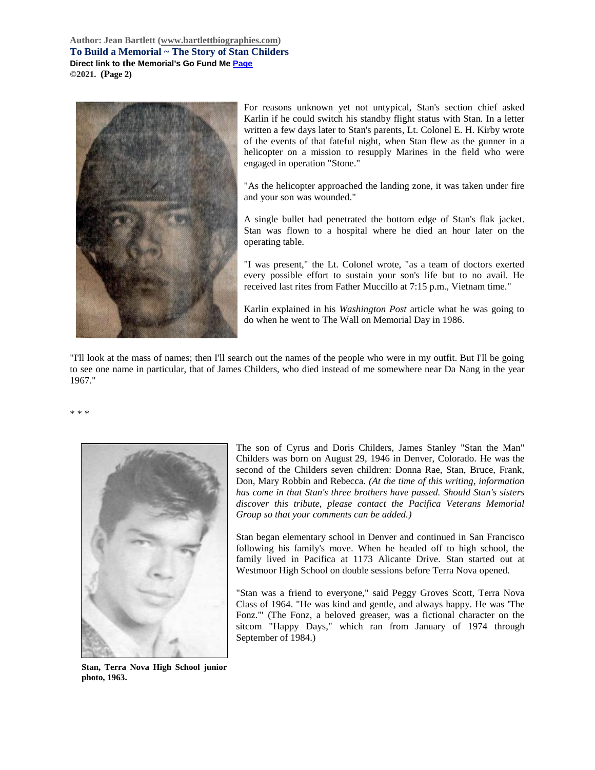**Author: Jean Bartlett [\(www.bartlettbiographies.com\)](http://www.bartlettbiographies.com/) To Build a Memorial ~ The Story of Stan Childers Direct link to the Memorial's Go Fund M[e Page](https://www.gofundme.com/f/uyf8r-25000?utm_source=customer&utm_medium=copy_link-tip&utm_campaign=p_cp+share-sheet) ©2021. (Page 2)**



For reasons unknown yet not untypical, Stan's section chief asked Karlin if he could switch his standby flight status with Stan. In a letter written a few days later to Stan's parents, Lt. Colonel E. H. Kirby wrote of the events of that fateful night, when Stan flew as the gunner in a helicopter on a mission to resupply Marines in the field who were engaged in operation "Stone."

"As the helicopter approached the landing zone, it was taken under fire and your son was wounded."

A single bullet had penetrated the bottom edge of Stan's flak jacket. Stan was flown to a hospital where he died an hour later on the operating table.

"I was present," the Lt. Colonel wrote, "as a team of doctors exerted every possible effort to sustain your son's life but to no avail. He received last rites from Father Muccillo at 7:15 p.m., Vietnam time."

Karlin explained in his *Washington Post* article what he was going to do when he went to The Wall on Memorial Day in 1986.

"I'll look at the mass of names; then I'll search out the names of the people who were in my outfit. But I'll be going to see one name in particular, that of James Childers, who died instead of me somewhere near Da Nang in the year 1967."

\* \* \*



The son of Cyrus and Doris Childers, James Stanley "Stan the Man" Childers was born on August 29, 1946 in Denver, Colorado. He was the second of the Childers seven children: Donna Rae, Stan, Bruce, Frank, Don, Mary Robbin and Rebecca. *(At the time of this writing, information has come in that Stan's three brothers have passed. Should Stan's sisters discover this tribute, please contact the Pacifica Veterans Memorial Group so that your comments can be added.)*

Stan began elementary school in Denver and continued in San Francisco following his family's move. When he headed off to high school, the family lived in Pacifica at 1173 Alicante Drive. Stan started out at Westmoor High School on double sessions before Terra Nova opened.

"Stan was a friend to everyone," said Peggy Groves Scott, Terra Nova Class of 1964. "He was kind and gentle, and always happy. He was 'The Fonz.'" (The Fonz, a beloved greaser, was a fictional character on the sitcom "Happy Days," which ran from January of 1974 through September of 1984.)

**Stan, Terra Nova High School junior photo, 1963.**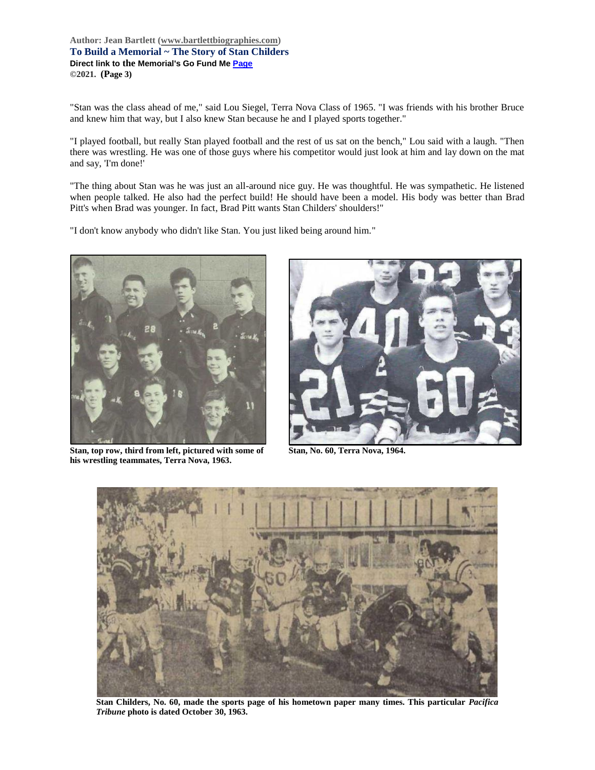**Author: Jean Bartlett [\(www.bartlettbiographies.com\)](http://www.bartlettbiographies.com/) To Build a Memorial ~ The Story of Stan Childers Direct link to the Memorial's Go Fund M[e Page](https://www.gofundme.com/f/uyf8r-25000?utm_source=customer&utm_medium=copy_link-tip&utm_campaign=p_cp+share-sheet) ©2021. (Page 3)**

"Stan was the class ahead of me," said Lou Siegel, Terra Nova Class of 1965. "I was friends with his brother Bruce and knew him that way, but I also knew Stan because he and I played sports together."

"I played football, but really Stan played football and the rest of us sat on the bench," Lou said with a laugh. "Then there was wrestling. He was one of those guys where his competitor would just look at him and lay down on the mat and say, 'I'm done!'

"The thing about Stan was he was just an all-around nice guy. He was thoughtful. He was sympathetic. He listened when people talked. He also had the perfect build! He should have been a model. His body was better than Brad Pitt's when Brad was younger. In fact, Brad Pitt wants Stan Childers' shoulders!"

"I don't know anybody who didn't like Stan. You just liked being around him."



**Stan, top row, third from left, pictured with some of Stan, No. 60, Terra Nova, 1964. his wrestling teammates, Terra Nova, 1963.**





**Stan Childers, No. 60, made the sports page of his hometown paper many times. This particular** *Pacifica Tribune* **photo is dated October 30, 1963.**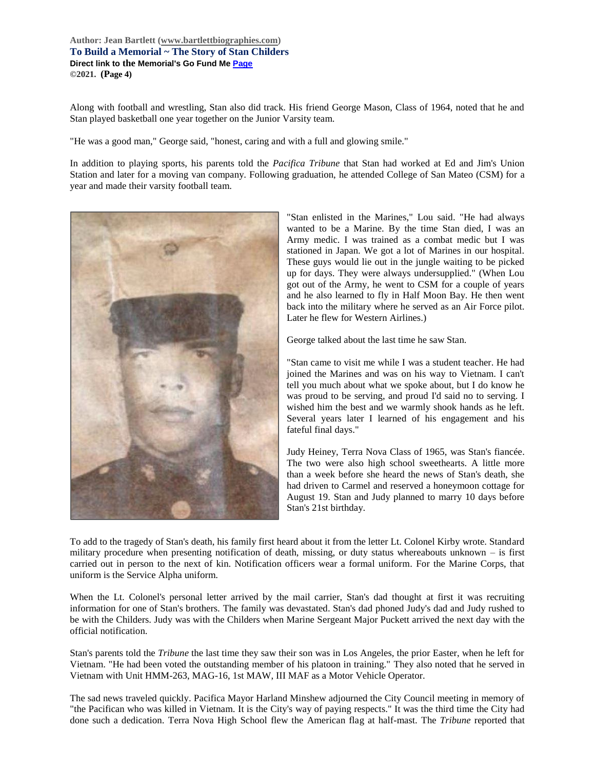**Author: Jean Bartlett [\(www.bartlettbiographies.com\)](http://www.bartlettbiographies.com/) To Build a Memorial ~ The Story of Stan Childers Direct link to the Memorial's Go Fund M[e Page](https://www.gofundme.com/f/uyf8r-25000?utm_source=customer&utm_medium=copy_link-tip&utm_campaign=p_cp+share-sheet) ©2021. (Page 4)**

Along with football and wrestling, Stan also did track. His friend George Mason, Class of 1964, noted that he and Stan played basketball one year together on the Junior Varsity team.

"He was a good man," George said, "honest, caring and with a full and glowing smile."

In addition to playing sports, his parents told the *Pacifica Tribune* that Stan had worked at Ed and Jim's Union Station and later for a moving van company. Following graduation, he attended College of San Mateo (CSM) for a year and made their varsity football team.



"Stan enlisted in the Marines," Lou said. "He had always wanted to be a Marine. By the time Stan died, I was an Army medic. I was trained as a combat medic but I was stationed in Japan. We got a lot of Marines in our hospital. These guys would lie out in the jungle waiting to be picked up for days. They were always undersupplied." (When Lou got out of the Army, he went to CSM for a couple of years and he also learned to fly in Half Moon Bay. He then went back into the military where he served as an Air Force pilot. Later he flew for Western Airlines.)

George talked about the last time he saw Stan.

"Stan came to visit me while I was a student teacher. He had joined the Marines and was on his way to Vietnam. I can't tell you much about what we spoke about, but I do know he was proud to be serving, and proud I'd said no to serving. I wished him the best and we warmly shook hands as he left. Several years later I learned of his engagement and his fateful final days."

Judy Heiney, Terra Nova Class of 1965, was Stan's fiancée. The two were also high school sweethearts. A little more than a week before she heard the news of Stan's death, she had driven to Carmel and reserved a honeymoon cottage for August 19. Stan and Judy planned to marry 10 days before Stan's 21st birthday.

To add to the tragedy of Stan's death, his family first heard about it from the letter Lt. Colonel Kirby wrote. Standard military procedure when presenting notification of death, missing, or duty status whereabouts unknown – is first carried out in person to the next of kin. Notification officers wear a formal uniform. For the Marine Corps, that uniform is the Service Alpha uniform.

When the Lt. Colonel's personal letter arrived by the mail carrier, Stan's dad thought at first it was recruiting information for one of Stan's brothers. The family was devastated. Stan's dad phoned Judy's dad and Judy rushed to be with the Childers. Judy was with the Childers when Marine Sergeant Major Puckett arrived the next day with the official notification.

Stan's parents told the *Tribune* the last time they saw their son was in Los Angeles, the prior Easter, when he left for Vietnam. "He had been voted the outstanding member of his platoon in training." They also noted that he served in Vietnam with Unit HMM-263, MAG-16, 1st MAW, III MAF as a Motor Vehicle Operator.

The sad news traveled quickly. Pacifica Mayor Harland Minshew adjourned the City Council meeting in memory of "the Pacifican who was killed in Vietnam. It is the City's way of paying respects." It was the third time the City had done such a dedication. Terra Nova High School flew the American flag at half-mast. The *Tribune* reported that